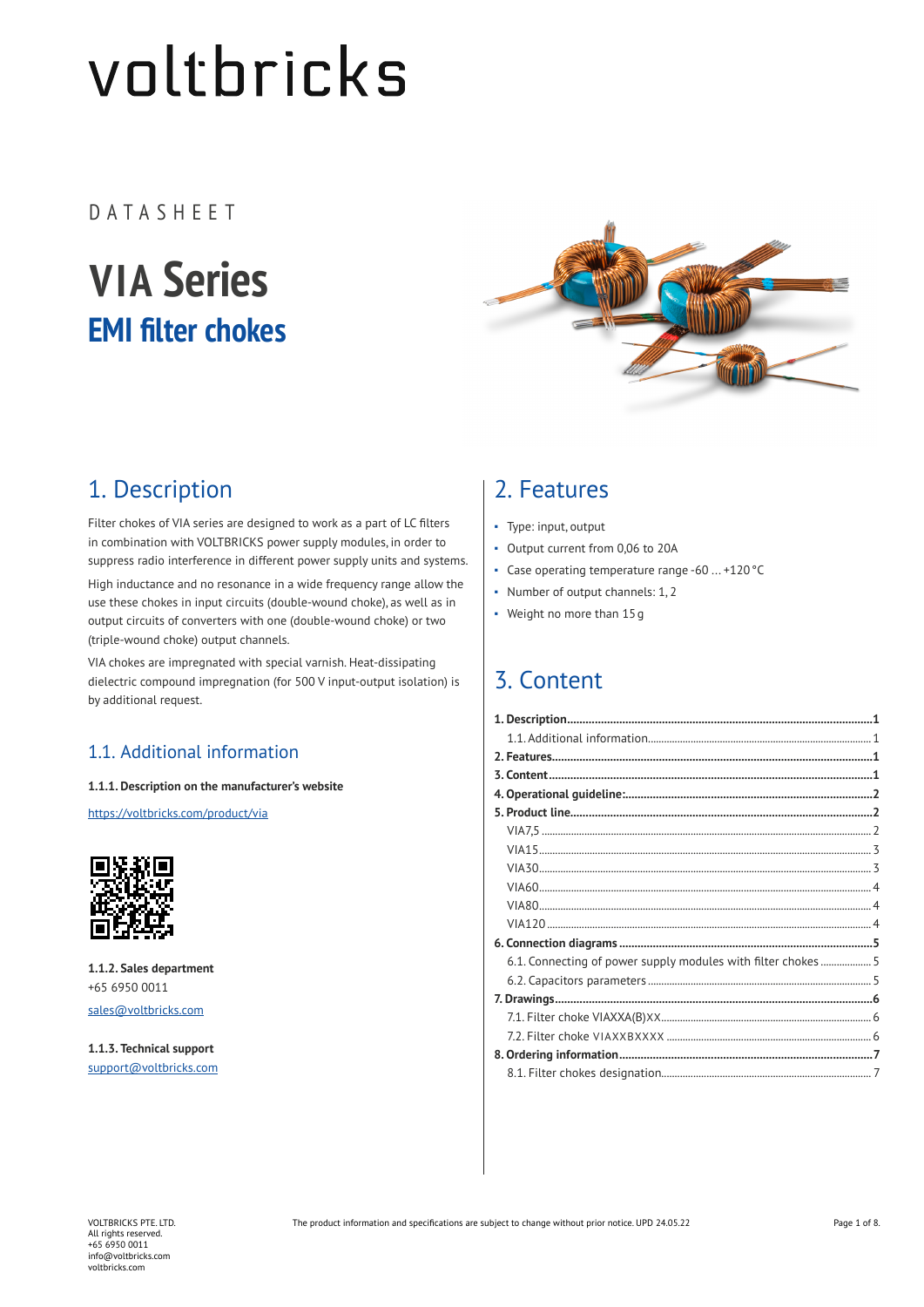# voltbricks

DATASHEET

## **VIA Series EMI filter chokes**



## 1. Description

Filter chokes of VIA series are designed to work as a part of LC filters in combination with VOLTBRICKS power supply modules, in order to suppress radio interference in different power supply units and systems. High inductance and no resonance in a wide frequency range allow the use these chokes in input circuits (double-wound choke), as well as in output circuits of converters with one (double-wound choke) or two (triple-wound choke) output channels.

VIA chokes are impregnated with special varnish. Heat-dissipating dielectric compound impregnation (for 500 V input-output isolation) is by additional request.

#### 1.1. Additional information

#### **1.1.1. Description on the manufacturer's website**

https://voltbricks.com/product/via



**1.1.2. Sales department** +65 6950 0011 sales@voltbricks.com

**1.1.3. Technical support** support@voltbricks.com

### 2. Features

- Type: input, output
- Output current from 0,06 to 20A
- Case operating temperature range -60 ... +120°С
- Number of output channels: 1, 2
- Weight no more than 15g

## 3. Content

| 6.1. Connecting of power supply modules with filter chokes  5 |  |
|---------------------------------------------------------------|--|
|                                                               |  |
|                                                               |  |
|                                                               |  |
|                                                               |  |
|                                                               |  |
|                                                               |  |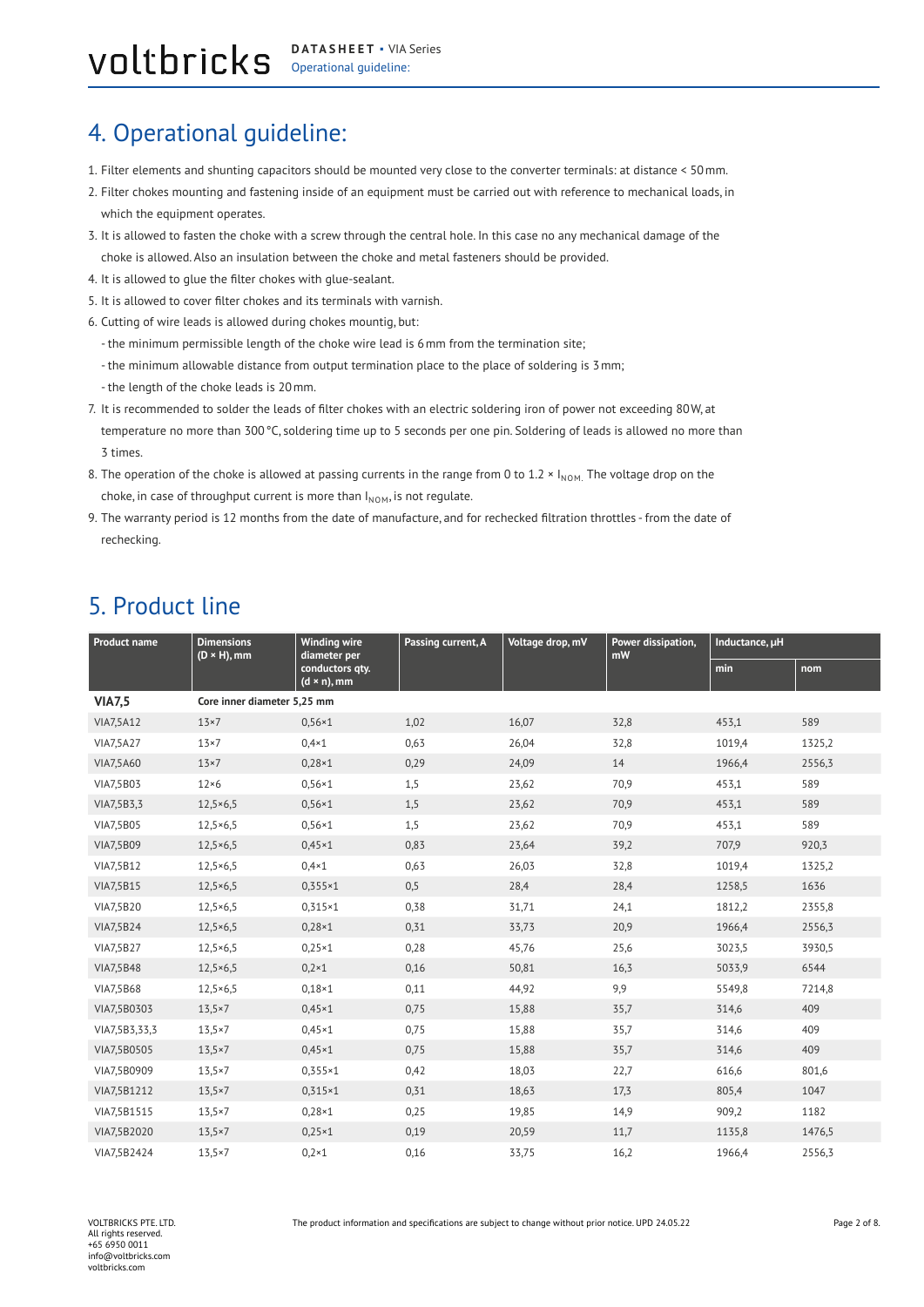#### <span id="page-1-0"></span>VOLUDTICKS DATASHEET . VIAS **DATASHEET** ▪ VIA Series

## 4. Operational guideline:

- 1. Filter elements and shunting capacitors should be mounted very close to the converter terminals: at distance < 50mm.
- 2. Filter chokes mounting and fastening inside of an equipment must be carried out with reference to mechanical loads, in which the equipment operates.
- 3. It is allowed to fasten the choke with a screw through the central hole. In this case no any mechanical damage of the choke is allowed. Also an insulation between the choke and metal fasteners should be provided.
- 4. It is allowed to glue the filter chokes with glue-sealant.
- 5. It is allowed to cover filter chokes and its terminals with varnish.
- 6. Cutting of wire leads is allowed during chokes mountig, but:
	- the minimum permissible length of the choke wire lead is 6mm from the termination site;
	- the minimum allowable distance from output termination place to the place of soldering is 3mm;
	- the length of the choke leads is 20mm.
- 7. It is recommended to solder the leads of filter chokes with an electric soldering iron of power not exceeding 80W, at temperature no more than 300 °C, soldering time up to 5 seconds per one pin. Soldering of leads is allowed no more than 3 times.
- 8. The operation of the choke is allowed at passing currents in the range from 0 to 1.2  $\times$  I<sub>NOM.</sub> The voltage drop on the choke, in case of throughput current is more than  $I_{NOM}$ , is not regulate.
- 9. The warranty period is 12 months from the date of manufacture, and for rechecked filtration throttles from the date of rechecking.

### 5. Product line

| Product name<br>$(D \times H)$ , mm | <b>Dimensions</b>           | <b>Winding wire</b><br>diameter per    | Passing current, A | Voltage drop, mV | Power dissipation,<br>mW | Inductance, µH |        |
|-------------------------------------|-----------------------------|----------------------------------------|--------------------|------------------|--------------------------|----------------|--------|
|                                     |                             | conductors qty.<br>$(d \times n)$ , mm |                    |                  |                          | min            | nom    |
| <b>VIA7,5</b>                       | Core inner diameter 5,25 mm |                                        |                    |                  |                          |                |        |
| VIA7,5A12                           | $13\times7$                 | $0,56 \times 1$                        | 1,02               | 16,07            | 32,8                     | 453,1          | 589    |
| VIA7,5A27                           | $13\times7$                 | $0,4*1$                                | 0,63               | 26,04            | 32,8                     | 1019,4         | 1325,2 |
| <b>VIA7,5A60</b>                    | $13\times7$                 | $0,28\times1$                          | 0,29               | 24,09            | 14                       | 1966,4         | 2556,3 |
| VIA7,5B03                           | $12\times 6$                | $0,56 \times 1$                        | 1,5                | 23,62            | 70,9                     | 453,1          | 589    |
| VIA7,5B3,3                          | $12,5 \times 6,5$           | $0,56\times1$                          | 1,5                | 23,62            | 70,9                     | 453,1          | 589    |
| <b>VIA7,5B05</b>                    | $12,5 \times 6,5$           | $0,56\times1$                          | 1,5                | 23,62            | 70,9                     | 453,1          | 589    |
| <b>VIA7,5B09</b>                    | $12,5 \times 6,5$           | $0,45\times1$                          | 0,83               | 23,64            | 39,2                     | 707,9          | 920,3  |
| VIA7,5B12                           | $12,5 \times 6,5$           | $0,4*1$                                | 0,63               | 26,03            | 32,8                     | 1019,4         | 1325,2 |
| <b>VIA7,5B15</b>                    | $12,5 \times 6,5$           | $0.355 \times 1$                       | 0,5                | 28,4             | 28,4                     | 1258,5         | 1636   |
| VIA7,5B20                           | $12,5 \times 6,5$           | $0,315\times1$                         | 0,38               | 31,71            | 24,1                     | 1812,2         | 2355,8 |
| <b>VIA7,5B24</b>                    | $12,5 \times 6,5$           | $0,28\times1$                          | 0,31               | 33,73            | 20,9                     | 1966,4         | 2556,3 |
| VIA7,5B27                           | $12,5 \times 6,5$           | $0,25\times1$                          | 0,28               | 45,76            | 25,6                     | 3023,5         | 3930,5 |
| <b>VIA7,5B48</b>                    | $12,5 \times 6,5$           | $0,2 \times 1$                         | 0,16               | 50,81            | 16,3                     | 5033,9         | 6544   |
| <b>VIA7,5B68</b>                    | $12,5 \times 6,5$           | $0,18\times1$                          | 0,11               | 44,92            | 9,9                      | 5549,8         | 7214,8 |
| VIA7,5B0303                         | 13,5×7                      | $0,45\times1$                          | 0,75               | 15,88            | 35,7                     | 314,6          | 409    |
| VIA7,5B3,33,3                       | $13,5 \times 7$             | $0,45\times1$                          | 0,75               | 15,88            | 35,7                     | 314,6          | 409    |
| VIA7,5B0505                         | $13,5 \times 7$             | $0,45\times1$                          | 0,75               | 15,88            | 35,7                     | 314,6          | 409    |
| VIA7,5B0909                         | $13,5 \times 7$             | $0,355 \times 1$                       | 0,42               | 18,03            | 22,7                     | 616,6          | 801,6  |
| VIA7,5B1212                         | $13,5 \times 7$             | $0,315\times1$                         | 0,31               | 18,63            | 17,3                     | 805,4          | 1047   |
| VIA7,5B1515                         | $13,5 \times 7$             | $0.28 \times 1$                        | 0,25               | 19,85            | 14,9                     | 909,2          | 1182   |
| VIA7,5B2020                         | $13,5 \times 7$             | $0,25\times1$                          | 0,19               | 20,59            | 11,7                     | 1135,8         | 1476,5 |
| VIA7,5B2424                         | $13,5 \times 7$             | $0.2 \times 1$                         | 0,16               | 33,75            | 16,2                     | 1966,4         | 2556,3 |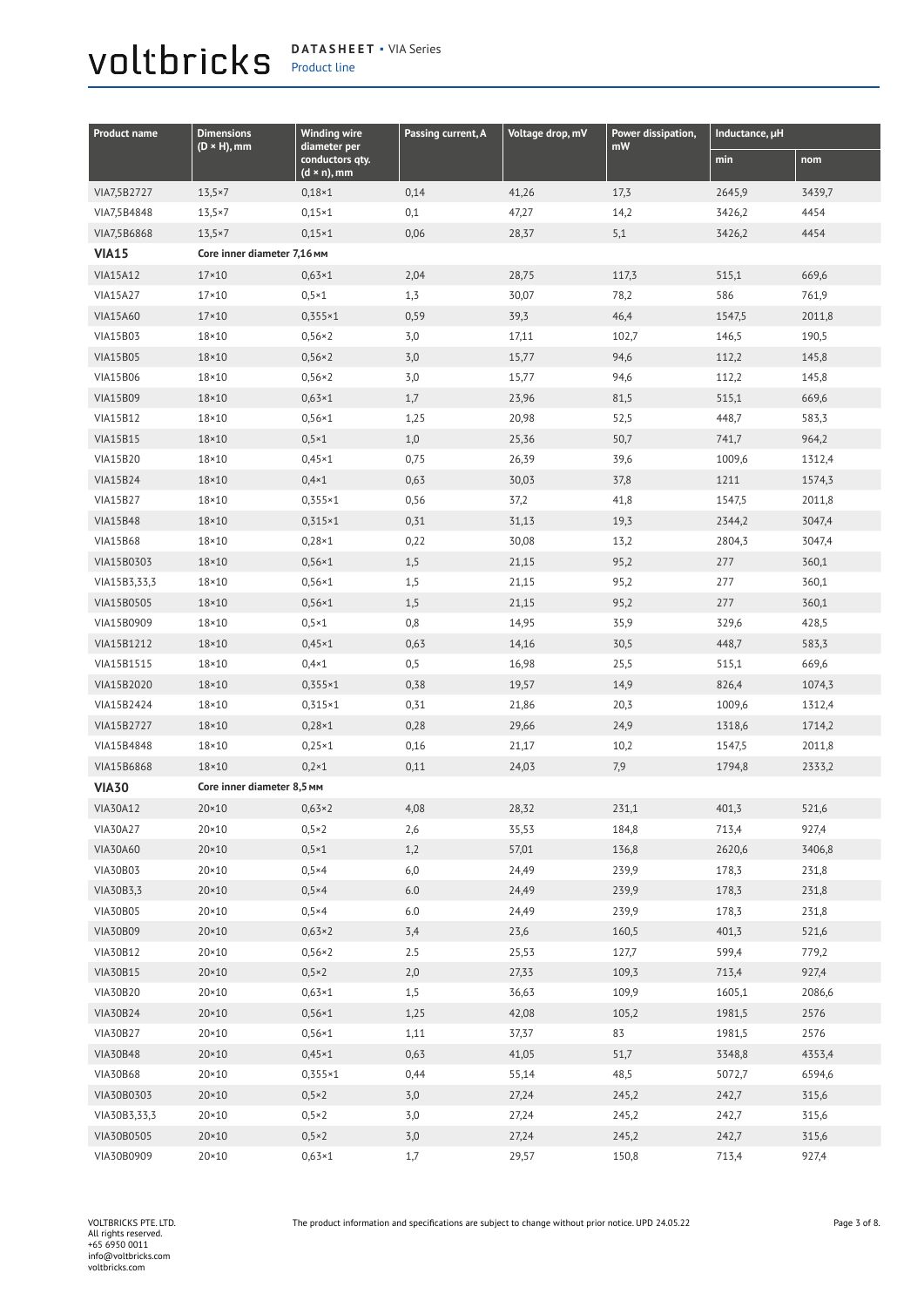#### <span id="page-2-0"></span>voltbricks Product line

| <b>DATASHEET • VIA Series</b> |  |
|-------------------------------|--|
| <b>Droduct line</b>           |  |

| <b>Product name</b> | <b>Dimensions</b>           | <b>Winding wire</b>                            | Passing current, A | Voltage drop, mV | Power dissipation, | Inductance, µH |        |
|---------------------|-----------------------------|------------------------------------------------|--------------------|------------------|--------------------|----------------|--------|
|                     | $(D \times H)$ , mm         | diameter per<br>conductors qty.<br>(d × n), mm |                    |                  | mW                 | min            | nom    |
| VIA7,5B2727         | 13,5×7                      | $0,18\times1$                                  | 0,14               | 41,26            | 17,3               | 2645,9         | 3439,7 |
| VIA7,5B4848         | $13,5 \times 7$             | $0,15\times1$                                  | 0,1                | 47,27            | 14,2               | 3426,2         | 4454   |
| VIA7,5B6868         | $13,5 \times 7$             | $0,15\times1$                                  | 0,06               | 28,37            | 5,1                | 3426,2         | 4454   |
| <b>VIA15</b>        | Core inner diameter 7,16 мм |                                                |                    |                  |                    |                |        |
| <b>VIA15A12</b>     | $17 \times 10$              | $0,63\times1$                                  | 2,04               | 28,75            | 117,3              | 515,1          | 669,6  |
| <b>VIA15A27</b>     | $17\times10$                | $0,5 \times 1$                                 | 1,3                | 30,07            | 78,2               | 586            | 761,9  |
| <b>VIA15A60</b>     | $17\times10$                | $0,355\times1$                                 | 0,59               | 39,3             | 46,4               | 1547,5         | 2011,8 |
| <b>VIA15B03</b>     | $18 \times 10$              | $0,56\times2$                                  | 3,0                | 17,11            | 102,7              | 146,5          | 190,5  |
| <b>VIA15B05</b>     | 18×10                       | $0,56\times2$                                  | 3,0                | 15,77            | 94,6               | 112,2          | 145,8  |
| <b>VIA15B06</b>     | 18×10                       | $0,56\times 2$                                 | 3,0                | 15,77            | 94,6               | 112,2          | 145,8  |
| <b>VIA15B09</b>     | $18 \times 10$              | $0,63\times1$                                  | 1,7                | 23,96            | 81,5               | 515,1          | 669,6  |
| <b>VIA15B12</b>     | $18 \times 10$              | $0,56 \times 1$                                | 1,25               | 20,98            | 52,5               | 448,7          | 583,3  |
| <b>VIA15B15</b>     | $18 \times 10$              | $0,5 \times 1$                                 | 1,0                | 25,36            | 50,7               | 741,7          | 964,2  |
| <b>VIA15B20</b>     | $18 \times 10$              | $0,45\times1$                                  | 0,75               | 26,39            | 39,6               | 1009,6         | 1312,4 |
| <b>VIA15B24</b>     | $18 \times 10$              | $0,4*1$                                        | 0,63               | 30,03            | 37,8               | 1211           | 1574,3 |
| <b>VIA15B27</b>     | $18\times10$                | $0,355 \times 1$                               | 0,56               | 37,2             | 41,8               | 1547,5         | 2011,8 |
| <b>VIA15B48</b>     | $18 \times 10$              | $0,315\times1$                                 | 0,31               | 31,13            | 19,3               | 2344,2         | 3047,4 |
| <b>VIA15B68</b>     | 18×10                       | $0,28\times1$                                  | 0,22               | 30,08            | 13,2               | 2804,3         | 3047,4 |
| VIA15B0303          | 18×10                       | $0,56\times1$                                  | 1,5                | 21,15            | 95,2               | 277            | 360,1  |
| VIA15B3,33,3        | 18×10                       | $0,56 \times 1$                                | 1,5                | 21,15            | 95,2               | 277            | 360,1  |
| VIA15B0505          | 18×10                       | $0,56\times1$                                  | 1,5                | 21,15            | 95,2               | 277            | 360,1  |
| VIA15B0909          | $18 \times 10$              | $0,5 \times 1$                                 | 0,8                | 14,95            | 35,9               | 329,6          | 428,5  |
| VIA15B1212          | $18 \times 10$              | $0,45\times1$                                  | 0,63               | 14,16            | 30,5               | 448,7          | 583,3  |
| VIA15B1515          | $18 \times 10$              | $0,4*1$                                        | 0,5                | 16,98            | 25,5               | 515,1          | 669,6  |
| VIA15B2020          | 18×10                       | $0,355 \times 1$                               | 0,38               | 19,57            | 14,9               | 826,4          | 1074,3 |
| VIA15B2424          | $18\times10$                | $0,315\times1$                                 | 0,31               | 21,86            | 20,3               | 1009,6         | 1312,4 |
| VIA15B2727          | $18\times10$                | $0,28\times1$                                  | 0,28               | 29,66            | 24,9               | 1318,6         | 1714,2 |
| VIA15B4848          | $18 \times 10$              | $0,25\times1$                                  | 0,16               | 21,17            | 10,2               | 1547,5         | 2011,8 |
| VIA15B6868          | $18 \times 10$              | $0,2 \times 1$                                 | 0,11               | 24,03            | 7,9                | 1794,8         | 2333,2 |
| <b>VIA30</b>        | Core inner diameter 8,5 MM  |                                                |                    |                  |                    |                |        |
| <b>VIA30A12</b>     | $20 \times 10$              | $0,63\times2$                                  | 4,08               | 28,32            | 231,1              | 401,3          | 521,6  |
| <b>VIA30A27</b>     | $20 \times 10$              | $0,5 \times 2$                                 | 2,6                | 35,53            | 184,8              | 713,4          | 927,4  |
| <b>VIA30A60</b>     | $20 \times 10$              | $0,5\times1$                                   | 1,2                | 57,01            | 136,8              | 2620,6         | 3406,8 |
| VIA30B03            | $20 \times 10$              | $0,5\times4$                                   | 6,0                | 24,49            | 239,9              | 178,3          | 231,8  |
| VIA30B3,3           | $20 \times 10$              | $0,5\times4$                                   | 6.0                | 24,49            | 239,9              | 178,3          | 231,8  |
| <b>VIA30B05</b>     | $20 \times 10$              | $0,5\times4$                                   | $6.0\,$            | 24,49            | 239,9              | 178,3          | 231,8  |
| <b>VIA30B09</b>     | $20 \times 10$              | $0,63\times2$                                  | 3,4                | 23,6             | 160,5              | 401,3          | 521,6  |
| <b>VIA30B12</b>     | $20 \times 10$              | $0,56\times 2$                                 | 2.5                | 25,53            | 127,7              | 599,4          | 779,2  |
| VIA30B15            | $20 \times 10$              | $0,5\times 2$                                  | 2,0                | 27,33            | 109,3              | 713,4          | 927,4  |
| <b>VIA30B20</b>     | $20 \times 10$              | $0,63\times1$                                  | 1,5                | 36,63            | 109,9              | 1605,1         | 2086,6 |
| <b>VIA30B24</b>     | $20 \times 10$              | $0,56\times1$                                  | 1,25               | 42,08            | 105,2              | 1981,5         | 2576   |
| <b>VIA30B27</b>     | $20 \times 10$              | $0,56\times1$                                  | 1,11               | 37,37            | 83                 | 1981,5         | 2576   |
| <b>VIA30B48</b>     | $20 \times 10$              | $0,45\times1$                                  | 0,63               | 41,05            | 51,7               | 3348,8         | 4353,4 |
| <b>VIA30B68</b>     | $20 \times 10$              | $0,355 \times 1$                               | 0,44               | 55,14            | 48,5               | 5072,7         | 6594,6 |
| VIA30B0303          | $20 \times 10$              | $0,5\times2$                                   | 3,0                | 27,24            | 245,2              | 242,7          | 315,6  |
| VIA30B3,33,3        | $20 \times 10$              | $0,5\times 2$                                  | 3,0                | 27,24            | 245,2              | 242,7          | 315,6  |
| VIA30B0505          | $20 \times 10$              | $0,5\times 2$                                  | 3,0                | 27,24            | 245,2              | 242,7          | 315,6  |
| VIA30B0909          | $20\times10$                | $0,63\times1$                                  | 1,7                | 29,57            | 150,8              | 713,4          | 927,4  |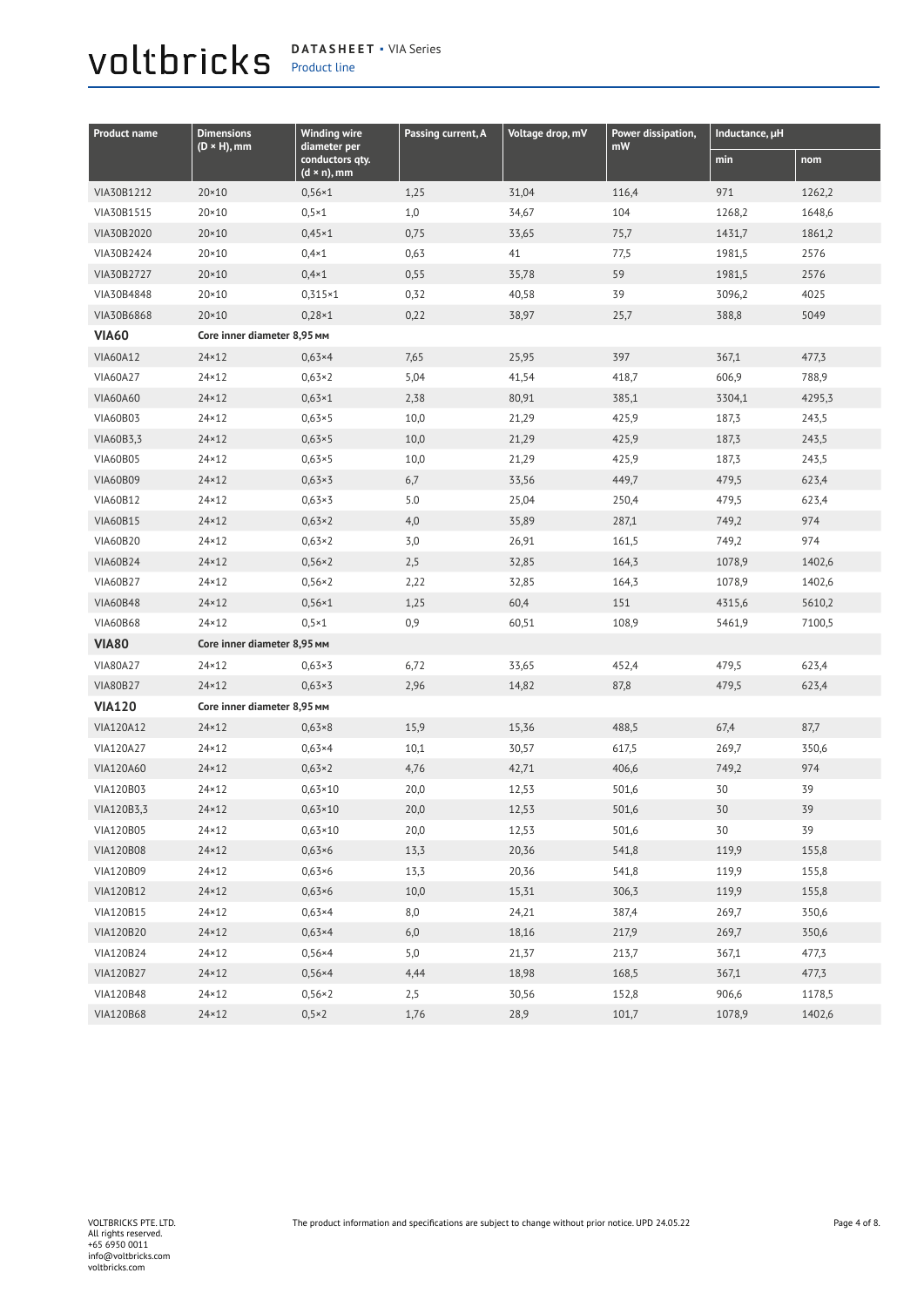## <span id="page-3-0"></span>Product line

**DATASHEET** ▪ VIA Series

| <b>Product name</b> | <b>Dimensions</b><br>$(D \times H)$ , mm | <b>Winding wire</b><br>diameter per    | Passing current, A | Voltage drop, mV | Power dissipation,<br>mW | Inductance, µH |        |
|---------------------|------------------------------------------|----------------------------------------|--------------------|------------------|--------------------------|----------------|--------|
|                     |                                          | conductors qty.<br>$(d \times n)$ , mm |                    |                  |                          | min            | nom    |
| VIA30B1212          | $20 \times 10$                           | $0,56\times1$                          | 1,25               | 31,04            | 116,4                    | 971            | 1262,2 |
| VIA30B1515          | $20 \times 10$                           | $0,5 \times 1$                         | 1,0                | 34,67            | 104                      | 1268,2         | 1648,6 |
| VIA30B2020          | $20 \times 10$                           | $0,45\times1$                          | 0,75               | 33,65            | 75,7                     | 1431,7         | 1861,2 |
| VIA30B2424          | 20×10                                    | $0,4*1$                                | 0,63               | 41               | 77,5                     | 1981,5         | 2576   |
| VIA30B2727          | $20 \times 10$                           | $0,4*1$                                | 0,55               | 35,78            | 59                       | 1981,5         | 2576   |
| VIA30B4848          | $20 \times 10$                           | $0,315\times1$                         | 0,32               | 40,58            | 39                       | 3096,2         | 4025   |
| VIA30B6868          | $20 \times 10$                           | $0,28\times1$                          | 0,22               | 38,97            | 25,7                     | 388,8          | 5049   |
| <b>VIA60</b>        | Core inner diameter 8,95 мм              |                                        |                    |                  |                          |                |        |
| <b>VIA60A12</b>     | $24 \times 12$                           | $0,63\times4$                          | 7,65               | 25,95            | 397                      | 367,1          | 477,3  |
| <b>VIA60A27</b>     | $24 \times 12$                           | $0,63\times2$                          | 5,04               | 41,54            | 418,7                    | 606,9          | 788,9  |
| <b>VIA60A60</b>     | $24 \times 12$                           | $0,63 \times 1$                        | 2,38               | 80,91            | 385,1                    | 3304,1         | 4295,3 |
| <b>VIA60B03</b>     | $24 \times 12$                           | $0,63\times5$                          | 10,0               | 21,29            | 425,9                    | 187,3          | 243,5  |
| VIA60B3,3           | $24 \times 12$                           | $0,63\times5$                          | 10,0               | 21,29            | 425,9                    | 187,3          | 243,5  |
| <b>VIA60B05</b>     | $24 \times 12$                           | $0,63\times5$                          | 10,0               | 21,29            | 425,9                    | 187,3          | 243,5  |
| <b>VIA60B09</b>     | $24 \times 12$                           | $0,63\times3$                          | 6,7                | 33,56            | 449,7                    | 479,5          | 623,4  |
| <b>VIA60B12</b>     | $24 \times 12$                           | $0,63\times3$                          | 5.0                | 25,04            | 250,4                    | 479,5          | 623,4  |
| <b>VIA60B15</b>     | $24 \times 12$                           | $0,63\times2$                          | 4,0                | 35,89            | 287,1                    | 749,2          | 974    |
| <b>VIA60B20</b>     | $24 \times 12$                           | $0,63\times2$                          | 3,0                | 26,91            | 161,5                    | 749,2          | 974    |
| <b>VIA60B24</b>     | $24 \times 12$                           | $0,56\times2$                          | 2,5                | 32,85            | 164,3                    | 1078,9         | 1402,6 |
| <b>VIA60B27</b>     | $24 \times 12$                           | $0,56\times2$                          | 2,22               | 32,85            | 164,3                    | 1078,9         | 1402,6 |
| <b>VIA60B48</b>     | $24 \times 12$                           | $0,56\times1$                          | 1,25               | 60,4             | 151                      | 4315,6         | 5610,2 |
| <b>VIA60B68</b>     | 24×12                                    | $0,5\times1$                           | 0,9                | 60,51            | 108,9                    | 5461,9         | 7100,5 |
| <b>VIA80</b>        | Core inner diameter 8,95 мм              |                                        |                    |                  |                          |                |        |
| <b>VIA80A27</b>     | $24 \times 12$                           | $0,63\times3$                          | 6,72               | 33,65            | 452,4                    | 479,5          | 623,4  |
| <b>VIA80B27</b>     | $24 \times 12$                           | $0,63\times3$                          | 2,96               | 14,82            | 87,8                     | 479,5          | 623,4  |
| <b>VIA120</b>       | Core inner diameter 8,95 MM              |                                        |                    |                  |                          |                |        |
| VIA120A12           | $24 \times 12$                           | $0,63\times8$                          | 15,9               | 15,36            | 488,5                    | 67,4           | 87,7   |
| VIA120A27           | $24 \times 12$                           | $0,63 \times 4$                        | 10,1               | 30,57            | 617,5                    | 269,7          | 350,6  |
| VIA120A60           | $24 \times 12$                           | $0,63\times2$                          | 4,76               | 42,71            | 406,6                    | 749,2          | 974    |
| VIA120B03           | $24 \times 12$                           | $0,63 \times 10$                       | 20,0               | 12,53            | 501,6                    | 30             | 39     |
| VIA120B3,3          | $24 \times 12$                           | $0,63 \times 10$                       | 20,0               | 12,53            | 501,6                    | 30             | 39     |
| VIA120B05           | 24×12                                    | $0,63 \times 10$                       | 20,0               | 12,53            | 501,6                    | 30             | 39     |
| <b>VIA120B08</b>    | $24 \times 12$                           | $0,63\times 6$                         | 13,3               | 20,36            | 541,8                    | 119,9          | 155,8  |
| VIA120B09           | $24 \times 12$                           | $0,63\times 6$                         | 13,3               | 20,36            | 541,8                    | 119,9          | 155,8  |
| VIA120B12           | $24 \times 12$                           | $0,63\times 6$                         | 10,0               | 15,31            | 306,3                    | 119,9          | 155,8  |
| VIA120B15           | $24 \times 12$                           | $0,63 \times 4$                        | 8,0                | 24,21            | 387,4                    | 269,7          | 350,6  |
| VIA120B20           | $24 \times 12$                           | $0,63\times4$                          | 6,0                | 18,16            | 217,9                    | 269,7          | 350,6  |
| VIA120B24           | $24 \times 12$                           | $0,56\times4$                          | 5,0                | 21,37            | 213,7                    | 367,1          | 477,3  |
| VIA120B27           | $24 \times 12$                           | $0,56\times4$                          | 4,44               | 18,98            | 168,5                    | 367,1          | 477,3  |
| VIA120B48           | $24 \times 12$                           | $0,56\times2$                          | 2,5                | 30,56            | 152,8                    | 906,6          | 1178,5 |
| <b>VIA120B68</b>    | $24 \times 12$                           | $0,5\times 2$                          | 1,76               | 28,9             | 101,7                    | 1078,9         | 1402,6 |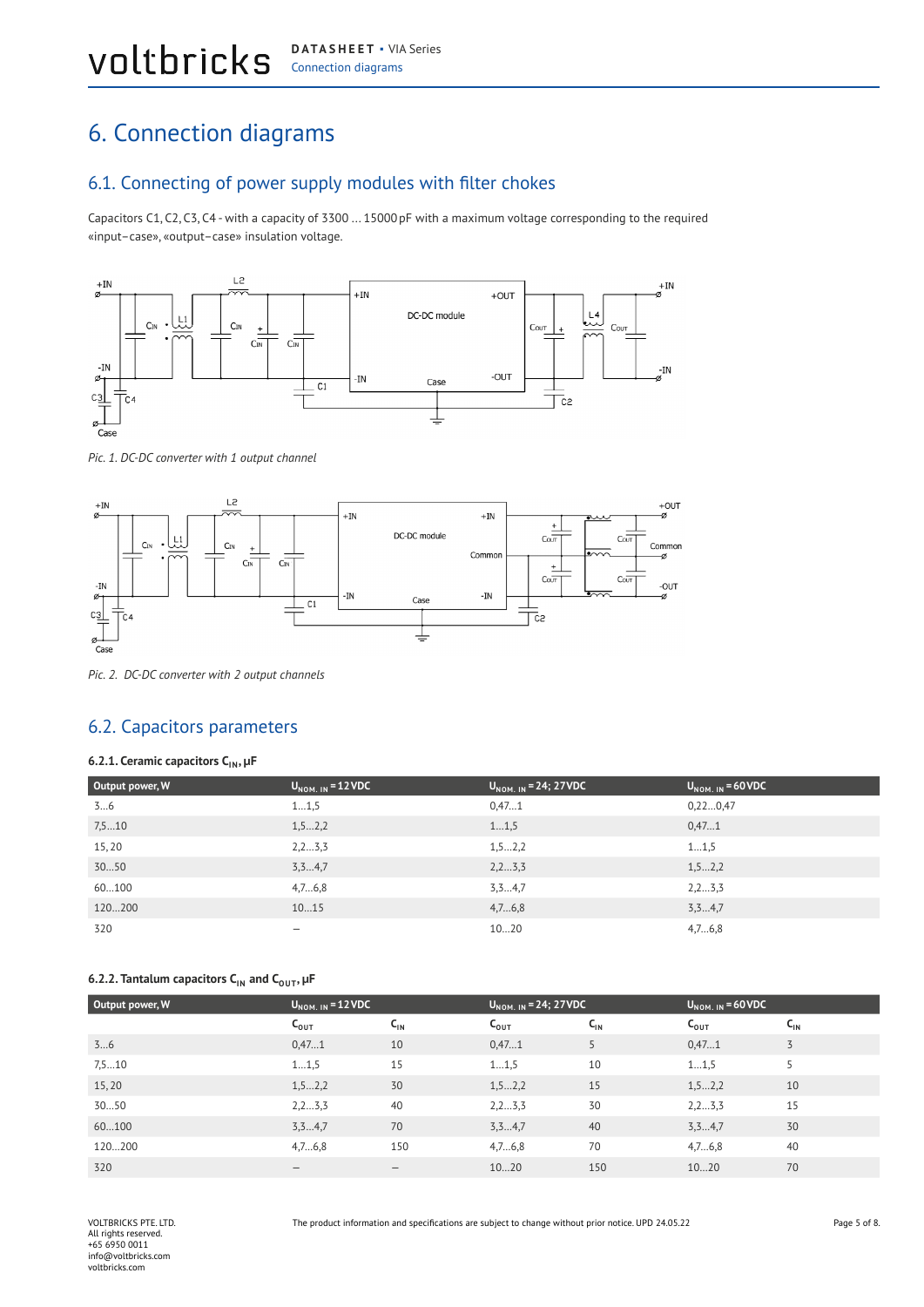## <span id="page-4-0"></span>6. Connection diagrams

#### 6.1. Connecting of power supply modules with filter chokes

Capacitors C1, C2, C3, C4 - with a capacity of 3300 ... 15000pF with a maximum voltage corresponding to the required «input–case», «output–case» insulation voltage.



*Pic. 1. DC-DC converter with 1 output channel*



*Pic. 2. DC-DC converter with 2 output channels*

#### 6.2. Capacitors parameters

#### **6.2.1. Ceramic capacitors CIN, µF**

| Output power, W | $U_{NOM. IN} = 12 VDC$ | $U_{NOM. IN} = 24; 27 VDC$ | $U_{\text{NOM. IN}}$ = 60 VDC |
|-----------------|------------------------|----------------------------|-------------------------------|
| 36              | 11,5                   | 0,471                      | 0,220,47                      |
| 7,510           | 1, 52, 2               | 11,5                       | 0,471                         |
| 15,20           | 2, 2,  3, 3            | 1, 52, 2                   | 11,5                          |
| 3050            | 3, 34, 7               | 2, 23, 3                   | 1, 52, 2                      |
| 60100           | 4,76,8                 | 3,34,7                     | 2, 23, 3                      |
| 120200          | 1015                   | 4,76,8                     | 3, 34, 7                      |
| 320             | -                      | 1020                       | 4,76,8                        |

#### **6.2.2. Tantalum capacitors C<sub>IN</sub> and C<sub>OUT</sub>, µF**

| Output power, W | $U_{\text{NOM. IN}}$ = 12 VDC |                 | $U_{NOM. IN} = 24; 27VDC$ |          | $U_{NOM, IN}$ = 60 VDC |                 |
|-----------------|-------------------------------|-----------------|---------------------------|----------|------------------------|-----------------|
|                 | $C_{\text{OUT}}$              | $C_{\text{IN}}$ | $C_{\text{OUT}}$          | $C_{IN}$ | $C_{\text{OUT}}$       | $C_{\text{IN}}$ |
| 36              | 0,471                         | 10              | 0,471                     |          | 0,471                  | 3               |
| 7,510           | 11,5                          | 15              | 11,5                      | 10       | 11,5                   | 5               |
| 15,20           | 1, 52, 2                      | 30              | 1, 52, 2                  | 15       | 1, 52, 2               | 10              |
| 3050            | 2, 2,  3, 3                   | 40              | 2, 2,  3, 3               | 30       | 2, 2 3, 3              | 15              |
| 60100           | 3, 34, 7                      | 70              | 3, 3,  4, 7               | 40       | 3, 3,  4, 7            | 30              |
| 120200          | 4,76,8                        | 150             | 4,76,8                    | 70       | 4,76,8                 | 40              |
| 320             | $\qquad \qquad \blacksquare$  |                 | 1020                      | 150      | 1020                   | 70              |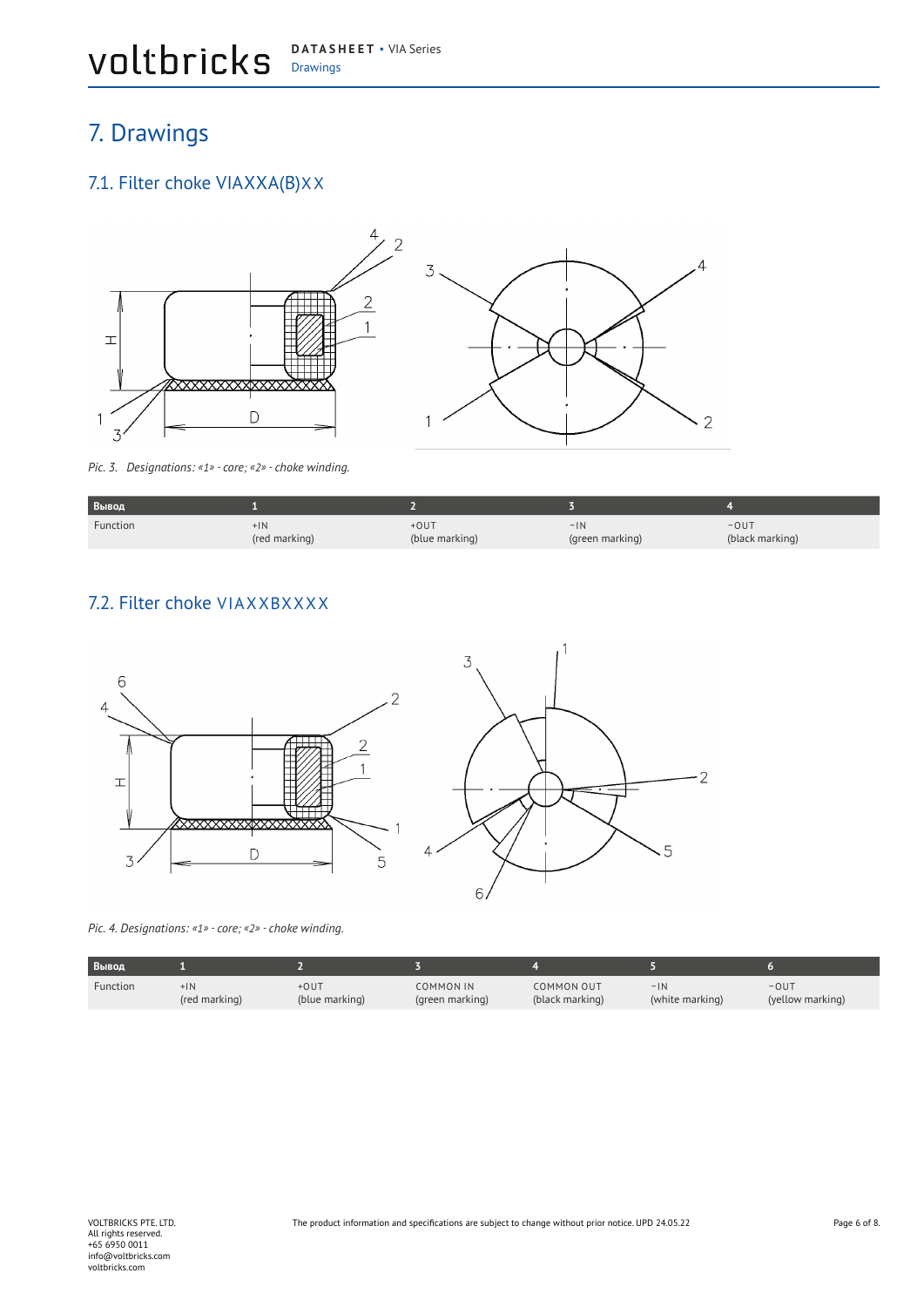#### <span id="page-5-0"></span>Drawings **DATASHEET** ▪ VIA Series

## 7. Drawings

#### 7.1. Filter choke VIAXXA(B)XX



*Pic. 3. Designations: «1» - core; «2» - choke winding.*

| Вывод    |                        |                          |                          |                                |
|----------|------------------------|--------------------------|--------------------------|--------------------------------|
| Function | $+1N$<br>(red marking) | $+0UT$<br>(blue marking) | $-1N$<br>(green marking) | $-0U$<br>(black marking)<br>نٽ |

 $\Delta$ 

 $\overline{2}$ 

#### 7.2. Filter choke VIAXXBXXXX



*Pic. 4. Designations: «1» - core; «2» - choke winding.*

| Вывод    |               |                |                  |                 |                 |                  |
|----------|---------------|----------------|------------------|-----------------|-----------------|------------------|
| Function | $+1N$         | +OUT           | <b>COMMON IN</b> | COMMON OUT      | $-1N$           | $-0U$            |
|          | (red marking) | (blue marking) | (green marking)  | (black marking) | (white marking) | (yellow marking) |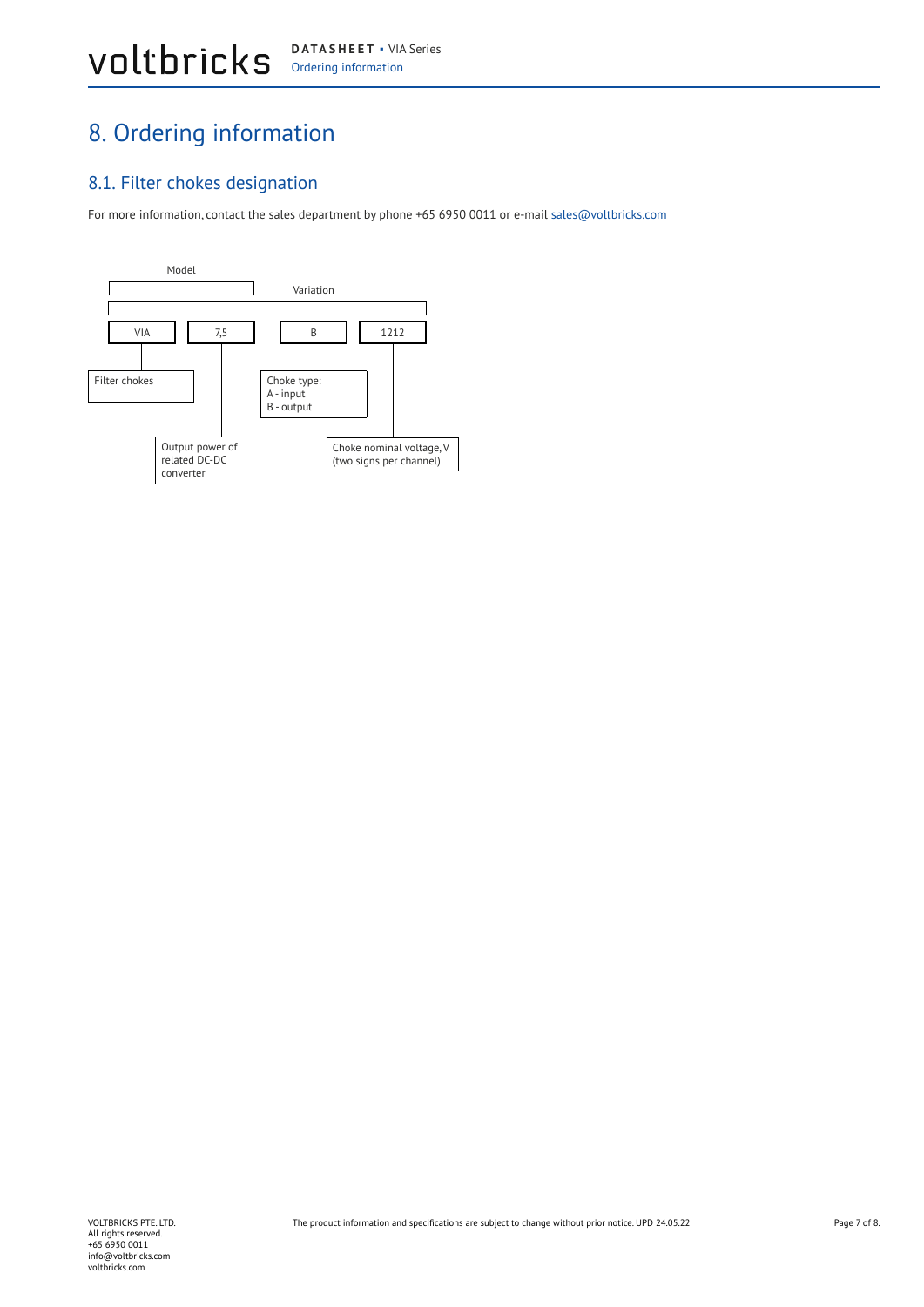## <span id="page-6-0"></span>8. Ordering information

#### 8.1. Filter chokes designation

For more information, contact the sales department by phone +65 6950 0011 or e-mail sales@voltbricks.com